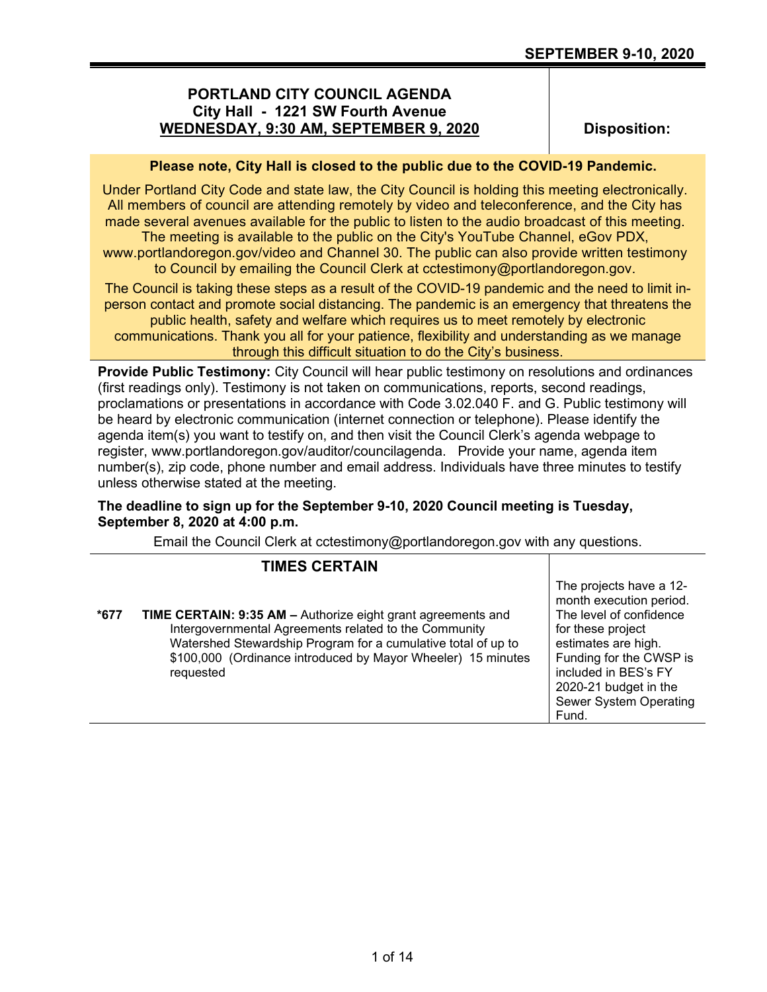## **PORTLAND CITY COUNCIL AGENDA City Hall - 1221 SW Fourth Avenue WEDNESDAY, 9:30 AM, SEPTEMBER 9, 2020**

**Disposition:**

### **Please note, City Hall is closed to the public due to the COVID-19 Pandemic.**

Under Portland City Code and state law, the City Council is holding this meeting electronically. All members of council are attending remotely by video and teleconference, and the City has made several avenues available for the public to listen to the audio broadcast of this meeting.

The meeting is available to the public on the City's YouTube Channel, eGov PDX, www.portlandoregon.gov/video and Channel 30. The public can also provide written testimony to Council by emailing the Council Clerk at cctestimony@portlandoregon.gov.

The Council is taking these steps as a result of the COVID-19 pandemic and the need to limit inperson contact and promote social distancing. The pandemic is an emergency that threatens the public health, safety and welfare which requires us to meet remotely by electronic

communications. Thank you all for your patience, flexibility and understanding as we manage through this difficult situation to do the City's business.

**Provide Public Testimony:** City Council will hear public testimony on resolutions and ordinances (first readings only). Testimony is not taken on communications, reports, second readings, proclamations or presentations in accordance with Code 3.02.040 F. and G. Public testimony will be heard by electronic communication (internet connection or telephone). Please identify the agenda item(s) you want to testify on, and then visit the Council Clerk's agenda webpage to register, www.portlandoregon.gov/auditor/councilagenda. Provide your name, agenda item number(s), zip code, phone number and email address. Individuals have three minutes to testify unless otherwise stated at the meeting.

### **The deadline to sign up for the September 9-10, 2020 Council meeting is Tuesday, September 8, 2020 at 4:00 p.m.**

Email the Council Clerk at cctestimony@portlandoregon.gov with any questions.

|      | <b>TIMES CERTAIN</b>                                                                                                                                                                                                                                                |                                                                                                                                                                                                                                          |
|------|---------------------------------------------------------------------------------------------------------------------------------------------------------------------------------------------------------------------------------------------------------------------|------------------------------------------------------------------------------------------------------------------------------------------------------------------------------------------------------------------------------------------|
| *677 | TIME CERTAIN: 9:35 AM - Authorize eight grant agreements and<br>Intergovernmental Agreements related to the Community<br>Watershed Stewardship Program for a cumulative total of up to<br>\$100,000 (Ordinance introduced by Mayor Wheeler) 15 minutes<br>requested | The projects have a 12-<br>month execution period.<br>The level of confidence<br>for these project<br>estimates are high.<br>Funding for the CWSP is<br>included in BES's FY<br>2020-21 budget in the<br>Sewer System Operating<br>Fund. |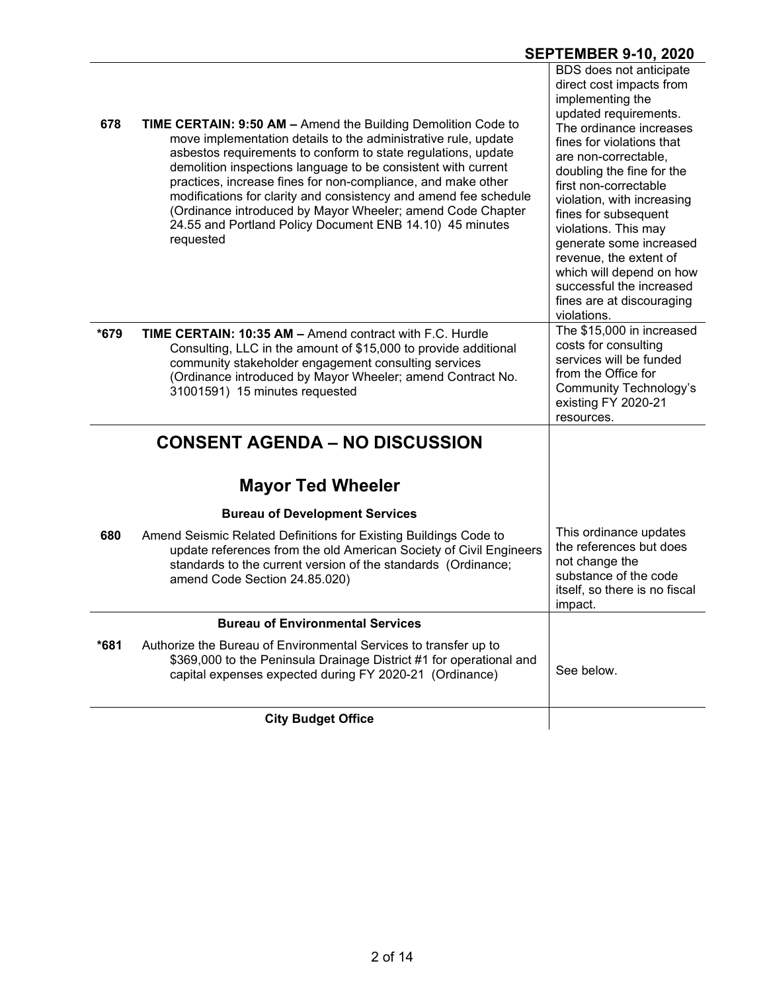## **SEPTEMBER 9-10, 2020**

| 678  | TIME CERTAIN: 9:50 AM - Amend the Building Demolition Code to<br>move implementation details to the administrative rule, update<br>asbestos requirements to conform to state regulations, update<br>demolition inspections language to be consistent with current<br>practices, increase fines for non-compliance, and make other<br>modifications for clarity and consistency and amend fee schedule<br>(Ordinance introduced by Mayor Wheeler; amend Code Chapter<br>24.55 and Portland Policy Document ENB 14.10) 45 minutes<br>requested | BDS does not anticipate<br>direct cost impacts from<br>implementing the<br>updated requirements.<br>The ordinance increases<br>fines for violations that<br>are non-correctable,<br>doubling the fine for the<br>first non-correctable<br>violation, with increasing<br>fines for subsequent<br>violations. This may<br>generate some increased<br>revenue, the extent of<br>which will depend on how<br>successful the increased<br>fines are at discouraging<br>violations. |
|------|----------------------------------------------------------------------------------------------------------------------------------------------------------------------------------------------------------------------------------------------------------------------------------------------------------------------------------------------------------------------------------------------------------------------------------------------------------------------------------------------------------------------------------------------|-------------------------------------------------------------------------------------------------------------------------------------------------------------------------------------------------------------------------------------------------------------------------------------------------------------------------------------------------------------------------------------------------------------------------------------------------------------------------------|
| *679 | TIME CERTAIN: 10:35 AM - Amend contract with F.C. Hurdle<br>Consulting, LLC in the amount of \$15,000 to provide additional<br>community stakeholder engagement consulting services<br>(Ordinance introduced by Mayor Wheeler; amend Contract No.<br>31001591) 15 minutes requested                                                                                                                                                                                                                                                          | The \$15,000 in increased<br>costs for consulting<br>services will be funded<br>from the Office for<br><b>Community Technology's</b><br>existing FY 2020-21<br>resources.                                                                                                                                                                                                                                                                                                     |
|      | <b>CONSENT AGENDA - NO DISCUSSION</b>                                                                                                                                                                                                                                                                                                                                                                                                                                                                                                        |                                                                                                                                                                                                                                                                                                                                                                                                                                                                               |
|      | <b>Mayor Ted Wheeler</b>                                                                                                                                                                                                                                                                                                                                                                                                                                                                                                                     |                                                                                                                                                                                                                                                                                                                                                                                                                                                                               |
|      | <b>Bureau of Development Services</b>                                                                                                                                                                                                                                                                                                                                                                                                                                                                                                        |                                                                                                                                                                                                                                                                                                                                                                                                                                                                               |
| 680  | Amend Seismic Related Definitions for Existing Buildings Code to<br>update references from the old American Society of Civil Engineers<br>standards to the current version of the standards (Ordinance;<br>amend Code Section 24.85.020)                                                                                                                                                                                                                                                                                                     | This ordinance updates<br>the references but does<br>not change the<br>substance of the code<br>itself, so there is no fiscal<br>impact.                                                                                                                                                                                                                                                                                                                                      |
|      | <b>Bureau of Environmental Services</b>                                                                                                                                                                                                                                                                                                                                                                                                                                                                                                      |                                                                                                                                                                                                                                                                                                                                                                                                                                                                               |
| *681 | Authorize the Bureau of Environmental Services to transfer up to<br>\$369,000 to the Peninsula Drainage District #1 for operational and<br>capital expenses expected during FY 2020-21 (Ordinance)                                                                                                                                                                                                                                                                                                                                           | See below.                                                                                                                                                                                                                                                                                                                                                                                                                                                                    |
|      | <b>City Budget Office</b>                                                                                                                                                                                                                                                                                                                                                                                                                                                                                                                    |                                                                                                                                                                                                                                                                                                                                                                                                                                                                               |
|      |                                                                                                                                                                                                                                                                                                                                                                                                                                                                                                                                              |                                                                                                                                                                                                                                                                                                                                                                                                                                                                               |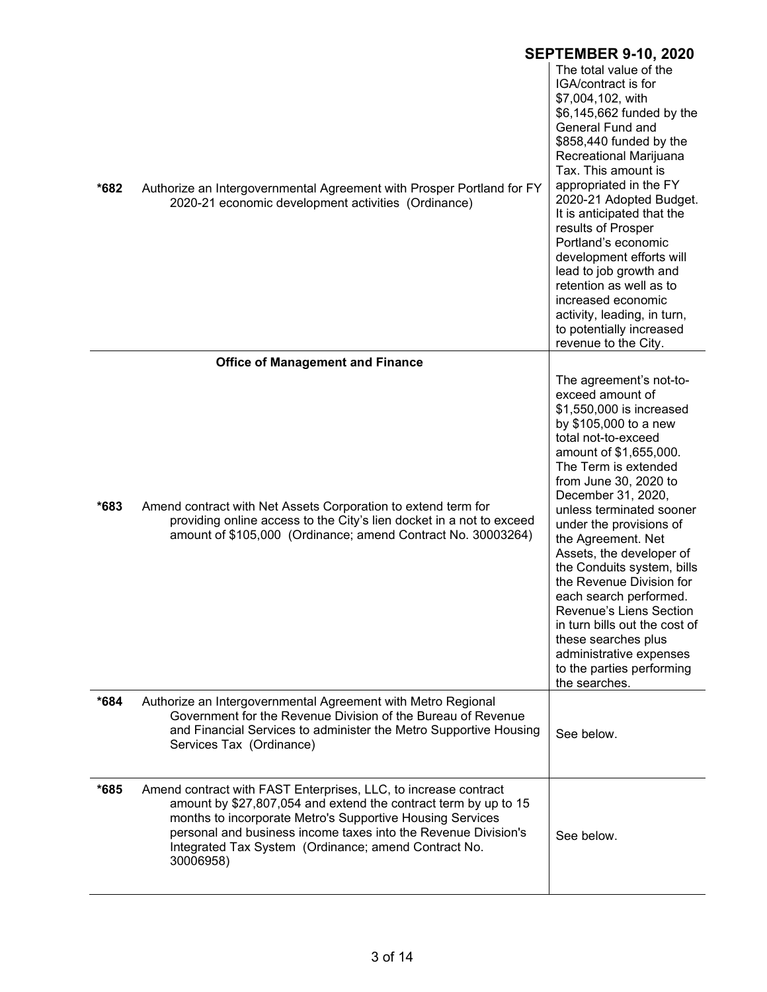|      |                                                                                                                                                                                                                                                                                                                                        | <b>SEPTEMBER 9-10, 2020</b>                                                                                                                                                                                                                                                                                                                                                                                                                                                                                                                                                       |
|------|----------------------------------------------------------------------------------------------------------------------------------------------------------------------------------------------------------------------------------------------------------------------------------------------------------------------------------------|-----------------------------------------------------------------------------------------------------------------------------------------------------------------------------------------------------------------------------------------------------------------------------------------------------------------------------------------------------------------------------------------------------------------------------------------------------------------------------------------------------------------------------------------------------------------------------------|
| *682 | Authorize an Intergovernmental Agreement with Prosper Portland for FY<br>2020-21 economic development activities (Ordinance)                                                                                                                                                                                                           | The total value of the<br>IGA/contract is for<br>\$7,004,102, with<br>\$6,145,662 funded by the<br>General Fund and<br>\$858,440 funded by the<br>Recreational Marijuana<br>Tax. This amount is<br>appropriated in the FY<br>2020-21 Adopted Budget.<br>It is anticipated that the<br>results of Prosper<br>Portland's economic<br>development efforts will<br>lead to job growth and<br>retention as well as to<br>increased economic<br>activity, leading, in turn,<br>to potentially increased<br>revenue to the City.                                                         |
|      | <b>Office of Management and Finance</b>                                                                                                                                                                                                                                                                                                |                                                                                                                                                                                                                                                                                                                                                                                                                                                                                                                                                                                   |
| *683 | Amend contract with Net Assets Corporation to extend term for<br>providing online access to the City's lien docket in a not to exceed<br>amount of \$105,000 (Ordinance; amend Contract No. 30003264)                                                                                                                                  | The agreement's not-to-<br>exceed amount of<br>\$1,550,000 is increased<br>by \$105,000 to a new<br>total not-to-exceed<br>amount of \$1,655,000.<br>The Term is extended<br>from June 30, 2020 to<br>December 31, 2020,<br>unless terminated sooner<br>under the provisions of<br>the Agreement. Net<br>Assets, the developer of<br>the Conduits system, bills<br>the Revenue Division for<br>each search performed.<br>Revenue's Liens Section<br>in turn bills out the cost of<br>these searches plus<br>administrative expenses<br>to the parties performing<br>the searches. |
| *684 | Authorize an Intergovernmental Agreement with Metro Regional<br>Government for the Revenue Division of the Bureau of Revenue<br>and Financial Services to administer the Metro Supportive Housing<br>Services Tax (Ordinance)                                                                                                          | See below.                                                                                                                                                                                                                                                                                                                                                                                                                                                                                                                                                                        |
| *685 | Amend contract with FAST Enterprises, LLC, to increase contract<br>amount by \$27,807,054 and extend the contract term by up to 15<br>months to incorporate Metro's Supportive Housing Services<br>personal and business income taxes into the Revenue Division's<br>Integrated Tax System (Ordinance; amend Contract No.<br>30006958) | See below.                                                                                                                                                                                                                                                                                                                                                                                                                                                                                                                                                                        |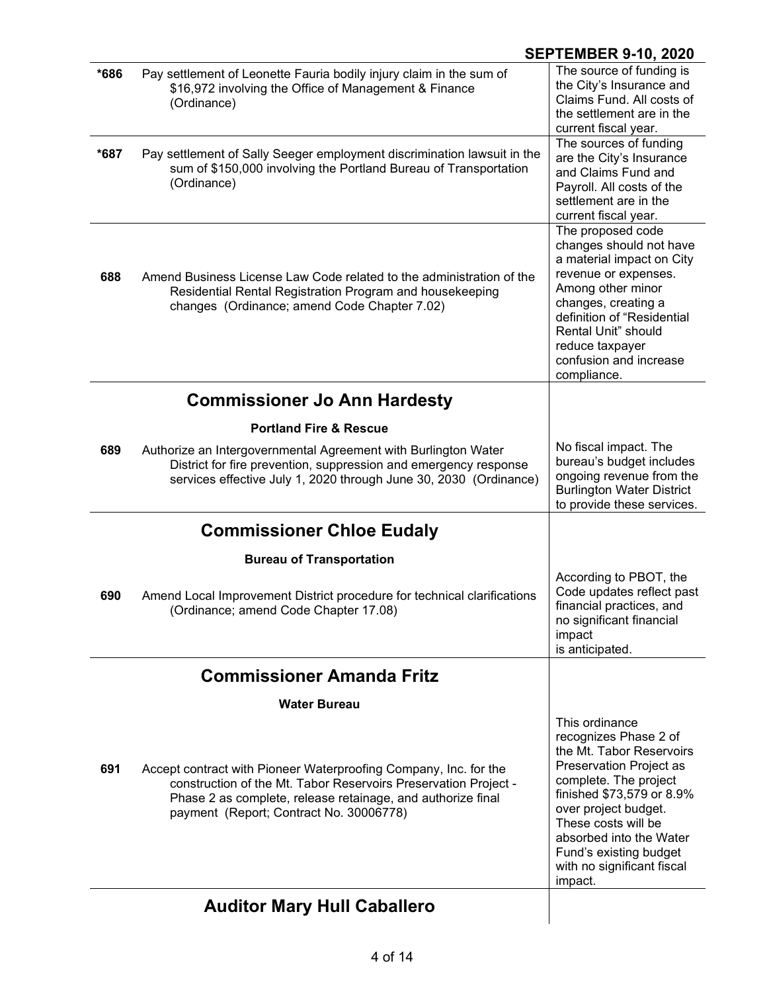# **SEPTEMBER 9-10, 2020**

| *686 | Pay settlement of Leonette Fauria bodily injury claim in the sum of<br>\$16,972 involving the Office of Management & Finance<br>(Ordinance)                                                                                                   | The source of funding is<br>the City's Insurance and<br>Claims Fund. All costs of<br>the settlement are in the<br>current fiscal year.                                                                                                                                                            |
|------|-----------------------------------------------------------------------------------------------------------------------------------------------------------------------------------------------------------------------------------------------|---------------------------------------------------------------------------------------------------------------------------------------------------------------------------------------------------------------------------------------------------------------------------------------------------|
| *687 | Pay settlement of Sally Seeger employment discrimination lawsuit in the<br>sum of \$150,000 involving the Portland Bureau of Transportation<br>(Ordinance)                                                                                    | The sources of funding<br>are the City's Insurance<br>and Claims Fund and<br>Payroll. All costs of the<br>settlement are in the<br>current fiscal year.                                                                                                                                           |
| 688  | Amend Business License Law Code related to the administration of the<br>Residential Rental Registration Program and housekeeping<br>changes (Ordinance; amend Code Chapter 7.02)                                                              | The proposed code<br>changes should not have<br>a material impact on City<br>revenue or expenses.<br>Among other minor<br>changes, creating a<br>definition of "Residential<br>Rental Unit" should<br>reduce taxpayer<br>confusion and increase<br>compliance.                                    |
|      | <b>Commissioner Jo Ann Hardesty</b>                                                                                                                                                                                                           |                                                                                                                                                                                                                                                                                                   |
|      | <b>Portland Fire &amp; Rescue</b>                                                                                                                                                                                                             |                                                                                                                                                                                                                                                                                                   |
| 689  | Authorize an Intergovernmental Agreement with Burlington Water<br>District for fire prevention, suppression and emergency response<br>services effective July 1, 2020 through June 30, 2030 (Ordinance)                                       | No fiscal impact. The<br>bureau's budget includes<br>ongoing revenue from the<br><b>Burlington Water District</b><br>to provide these services.                                                                                                                                                   |
|      | <b>Commissioner Chloe Eudaly</b>                                                                                                                                                                                                              |                                                                                                                                                                                                                                                                                                   |
|      | <b>Bureau of Transportation</b>                                                                                                                                                                                                               |                                                                                                                                                                                                                                                                                                   |
| 690  | Amend Local Improvement District procedure for technical clarifications<br>(Ordinance; amend Code Chapter 17.08)                                                                                                                              | According to PBOT, the<br>Code updates reflect past<br>financial practices, and<br>no significant financial<br>impact<br>is anticipated.                                                                                                                                                          |
|      | <b>Commissioner Amanda Fritz</b>                                                                                                                                                                                                              |                                                                                                                                                                                                                                                                                                   |
|      | <b>Water Bureau</b>                                                                                                                                                                                                                           |                                                                                                                                                                                                                                                                                                   |
| 691  | Accept contract with Pioneer Waterproofing Company, Inc. for the<br>construction of the Mt. Tabor Reservoirs Preservation Project -<br>Phase 2 as complete, release retainage, and authorize final<br>payment (Report; Contract No. 30006778) | This ordinance<br>recognizes Phase 2 of<br>the Mt. Tabor Reservoirs<br>Preservation Project as<br>complete. The project<br>finished \$73,579 or 8.9%<br>over project budget.<br>These costs will be<br>absorbed into the Water<br>Fund's existing budget<br>with no significant fiscal<br>impact. |
|      | <b>Auditor Mary Hull Caballero</b>                                                                                                                                                                                                            |                                                                                                                                                                                                                                                                                                   |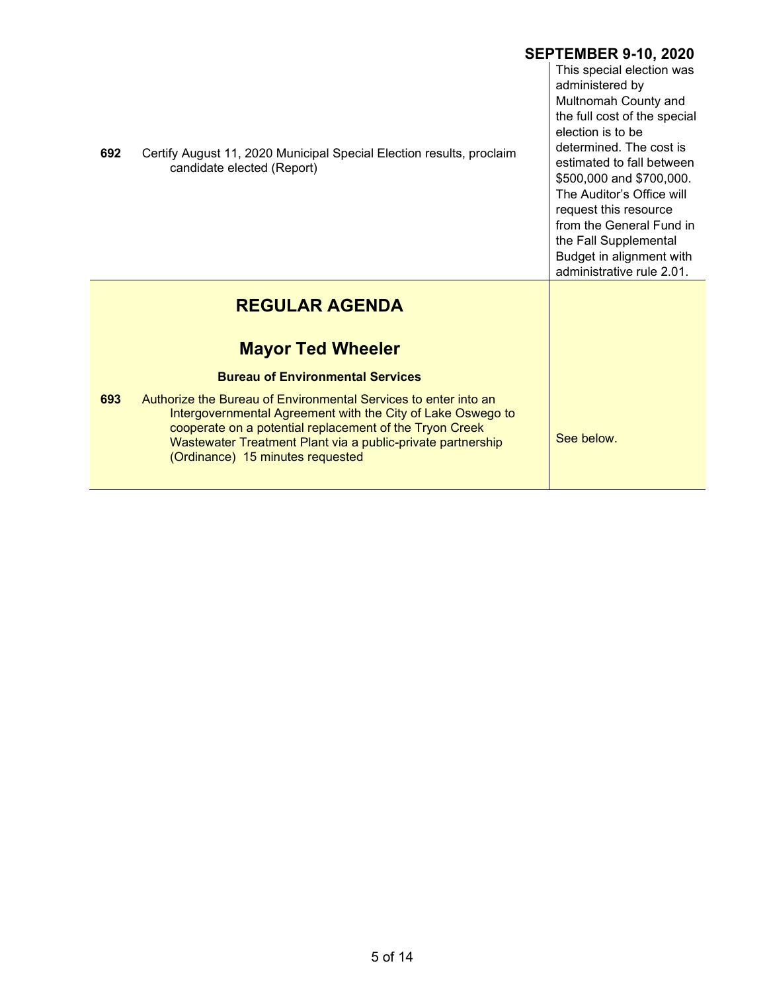| 692 | Certify August 11, 2020 Municipal Special Election results, proclaim<br>candidate elected (Report)                                                                                                                                                                                           | <b>SEPTEMBER 9-10, 2020</b><br>This special election was<br>administered by<br>Multnomah County and<br>the full cost of the special<br>election is to be<br>determined. The cost is<br>estimated to fall between<br>\$500,000 and \$700,000.<br>The Auditor's Office will<br>request this resource<br>from the General Fund in<br>the Fall Supplemental<br>Budget in alignment with<br>administrative rule 2.01. |
|-----|----------------------------------------------------------------------------------------------------------------------------------------------------------------------------------------------------------------------------------------------------------------------------------------------|------------------------------------------------------------------------------------------------------------------------------------------------------------------------------------------------------------------------------------------------------------------------------------------------------------------------------------------------------------------------------------------------------------------|
|     | <b>REGULAR AGENDA</b>                                                                                                                                                                                                                                                                        |                                                                                                                                                                                                                                                                                                                                                                                                                  |
|     | <b>Mayor Ted Wheeler</b>                                                                                                                                                                                                                                                                     |                                                                                                                                                                                                                                                                                                                                                                                                                  |
|     | <b>Bureau of Environmental Services</b>                                                                                                                                                                                                                                                      |                                                                                                                                                                                                                                                                                                                                                                                                                  |
| 693 | Authorize the Bureau of Environmental Services to enter into an<br>Intergovernmental Agreement with the City of Lake Oswego to<br>cooperate on a potential replacement of the Tryon Creek<br>Wastewater Treatment Plant via a public-private partnership<br>(Ordinance) 15 minutes requested | See below.                                                                                                                                                                                                                                                                                                                                                                                                       |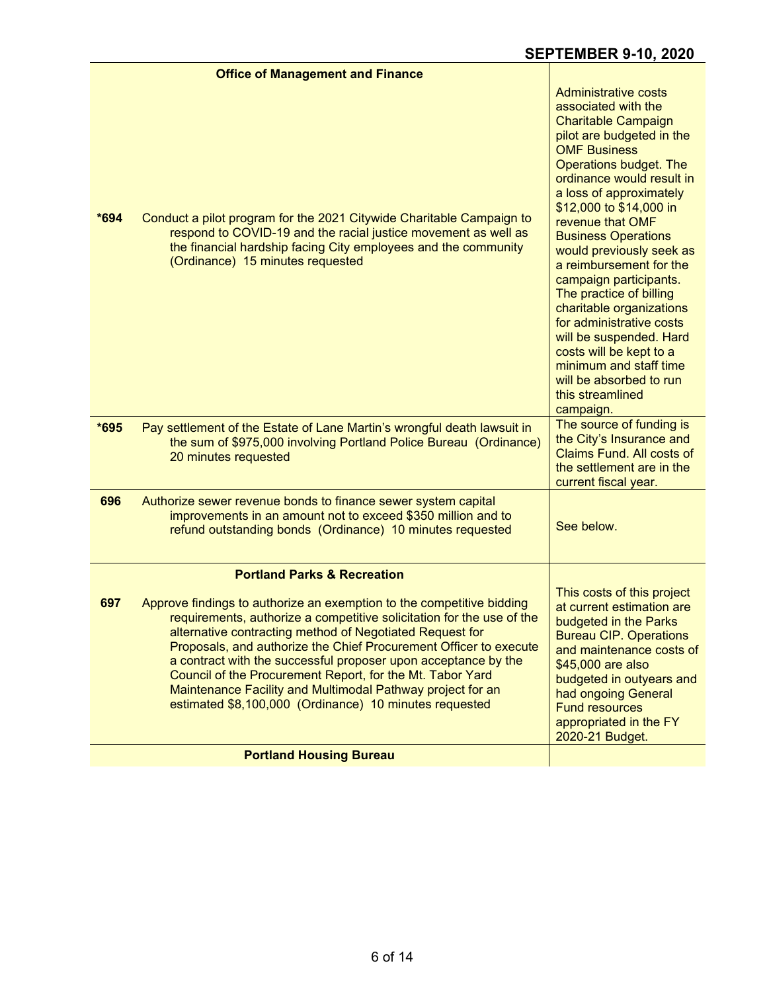|        | <b>Office of Management and Finance</b>                                                                                                                                                                                                                                                                                                                                                                                                                                                                                                |                                                                                                                                                                                                                                                                                                                                                                                                                                                                                                                                                                                                                     |
|--------|----------------------------------------------------------------------------------------------------------------------------------------------------------------------------------------------------------------------------------------------------------------------------------------------------------------------------------------------------------------------------------------------------------------------------------------------------------------------------------------------------------------------------------------|---------------------------------------------------------------------------------------------------------------------------------------------------------------------------------------------------------------------------------------------------------------------------------------------------------------------------------------------------------------------------------------------------------------------------------------------------------------------------------------------------------------------------------------------------------------------------------------------------------------------|
| $*694$ | Conduct a pilot program for the 2021 Citywide Charitable Campaign to<br>respond to COVID-19 and the racial justice movement as well as<br>the financial hardship facing City employees and the community<br>(Ordinance) 15 minutes requested                                                                                                                                                                                                                                                                                           | <b>Administrative costs</b><br>associated with the<br><b>Charitable Campaign</b><br>pilot are budgeted in the<br><b>OMF Business</b><br>Operations budget. The<br>ordinance would result in<br>a loss of approximately<br>\$12,000 to \$14,000 in<br>revenue that OMF<br><b>Business Operations</b><br>would previously seek as<br>a reimbursement for the<br>campaign participants.<br>The practice of billing<br>charitable organizations<br>for administrative costs<br>will be suspended. Hard<br>costs will be kept to a<br>minimum and staff time<br>will be absorbed to run<br>this streamlined<br>campaign. |
| *695   | Pay settlement of the Estate of Lane Martin's wrongful death lawsuit in<br>the sum of \$975,000 involving Portland Police Bureau (Ordinance)<br>20 minutes requested                                                                                                                                                                                                                                                                                                                                                                   | The source of funding is<br>the City's Insurance and<br>Claims Fund. All costs of<br>the settlement are in the<br>current fiscal year.                                                                                                                                                                                                                                                                                                                                                                                                                                                                              |
| 696    | Authorize sewer revenue bonds to finance sewer system capital<br>improvements in an amount not to exceed \$350 million and to<br>refund outstanding bonds (Ordinance) 10 minutes requested                                                                                                                                                                                                                                                                                                                                             | See below.                                                                                                                                                                                                                                                                                                                                                                                                                                                                                                                                                                                                          |
|        | <b>Portland Parks &amp; Recreation</b>                                                                                                                                                                                                                                                                                                                                                                                                                                                                                                 |                                                                                                                                                                                                                                                                                                                                                                                                                                                                                                                                                                                                                     |
| 697    | Approve findings to authorize an exemption to the competitive bidding<br>requirements, authorize a competitive solicitation for the use of the<br>alternative contracting method of Negotiated Request for<br>Proposals, and authorize the Chief Procurement Officer to execute<br>a contract with the successful proposer upon acceptance by the<br>Council of the Procurement Report, for the Mt. Tabor Yard<br>Maintenance Facility and Multimodal Pathway project for an<br>estimated \$8,100,000 (Ordinance) 10 minutes requested | This costs of this project<br>at current estimation are<br>budgeted in the Parks<br><b>Bureau CIP. Operations</b><br>and maintenance costs of<br>\$45,000 are also<br>budgeted in outyears and<br>had ongoing General<br><b>Fund resources</b><br>appropriated in the FY<br>2020-21 Budget.                                                                                                                                                                                                                                                                                                                         |
|        | <b>Portland Housing Bureau</b>                                                                                                                                                                                                                                                                                                                                                                                                                                                                                                         |                                                                                                                                                                                                                                                                                                                                                                                                                                                                                                                                                                                                                     |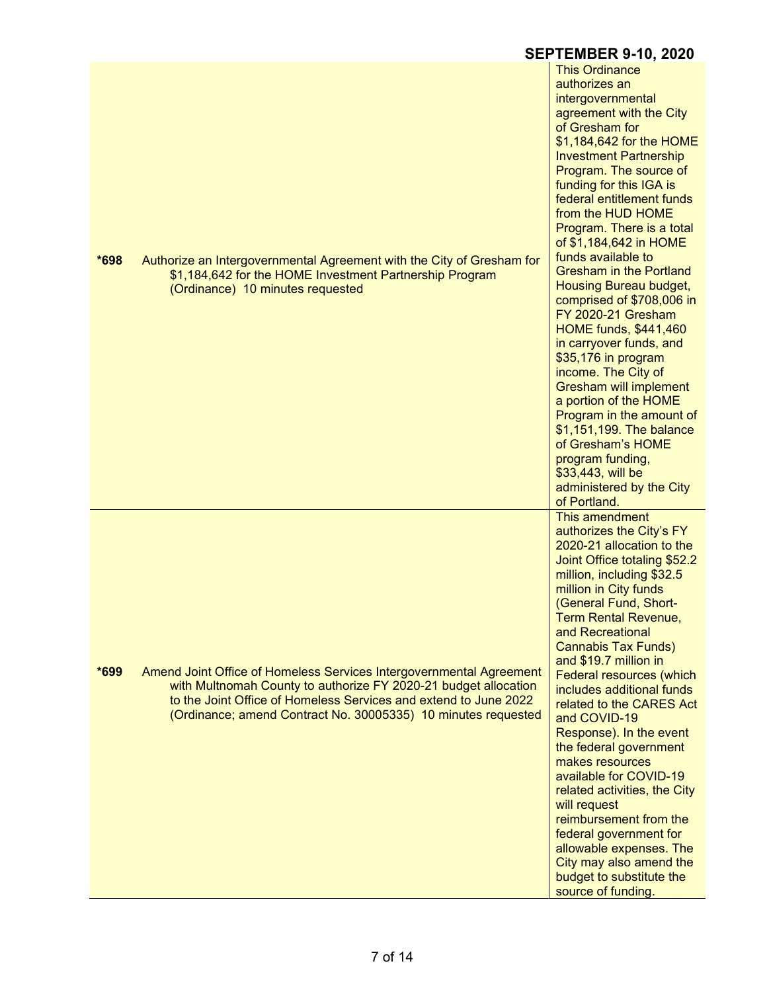|        |                                                                                                                                                                                                                                                                             | <b>SEPTEMBER 9-10, 2020</b>                                                                                                                                                                                                                                                                                                                                                                                                                                                                                                                                                                                                                                                                                                                                                                                     |
|--------|-----------------------------------------------------------------------------------------------------------------------------------------------------------------------------------------------------------------------------------------------------------------------------|-----------------------------------------------------------------------------------------------------------------------------------------------------------------------------------------------------------------------------------------------------------------------------------------------------------------------------------------------------------------------------------------------------------------------------------------------------------------------------------------------------------------------------------------------------------------------------------------------------------------------------------------------------------------------------------------------------------------------------------------------------------------------------------------------------------------|
| $*698$ | Authorize an Intergovernmental Agreement with the City of Gresham for<br>\$1,184,642 for the HOME Investment Partnership Program<br>(Ordinance) 10 minutes requested                                                                                                        | <b>This Ordinance</b><br>authorizes an<br>intergovernmental<br>agreement with the City<br>of Gresham for<br>\$1,184,642 for the HOME<br><b>Investment Partnership</b><br>Program. The source of<br>funding for this IGA is<br>federal entitlement funds<br>from the HUD HOME<br>Program. There is a total<br>of \$1,184,642 in HOME<br>funds available to<br><b>Gresham in the Portland</b><br>Housing Bureau budget,<br>comprised of \$708,006 in<br>FY 2020-21 Gresham<br><b>HOME funds, \$441,460</b><br>in carryover funds, and<br>\$35,176 in program<br>income. The City of<br><b>Gresham will implement</b><br>a portion of the HOME<br>Program in the amount of<br>\$1,151,199. The balance<br>of Gresham's HOME<br>program funding,<br>$$33,443$ , will be<br>administered by the City<br>of Portland. |
| $*699$ | Amend Joint Office of Homeless Services Intergovernmental Agreement<br>with Multnomah County to authorize FY 2020-21 budget allocation<br>to the Joint Office of Homeless Services and extend to June 2022<br>(Ordinance; amend Contract No. 30005335) 10 minutes requested | This amendment<br>authorizes the City's FY<br>2020-21 allocation to the<br>Joint Office totaling \$52.2<br>million, including \$32.5<br>million in City funds<br>(General Fund, Short-<br><b>Term Rental Revenue,</b><br>and Recreational<br><b>Cannabis Tax Funds)</b><br>and \$19.7 million in<br><b>Federal resources (which</b><br>includes additional funds<br>related to the CARES Act<br>and COVID-19<br>Response). In the event<br>the federal government<br>makes resources<br>available for COVID-19<br>related activities, the City<br>will request<br>reimbursement from the<br>federal government for<br>allowable expenses. The<br>City may also amend the<br>budget to substitute the<br>source of funding.                                                                                      |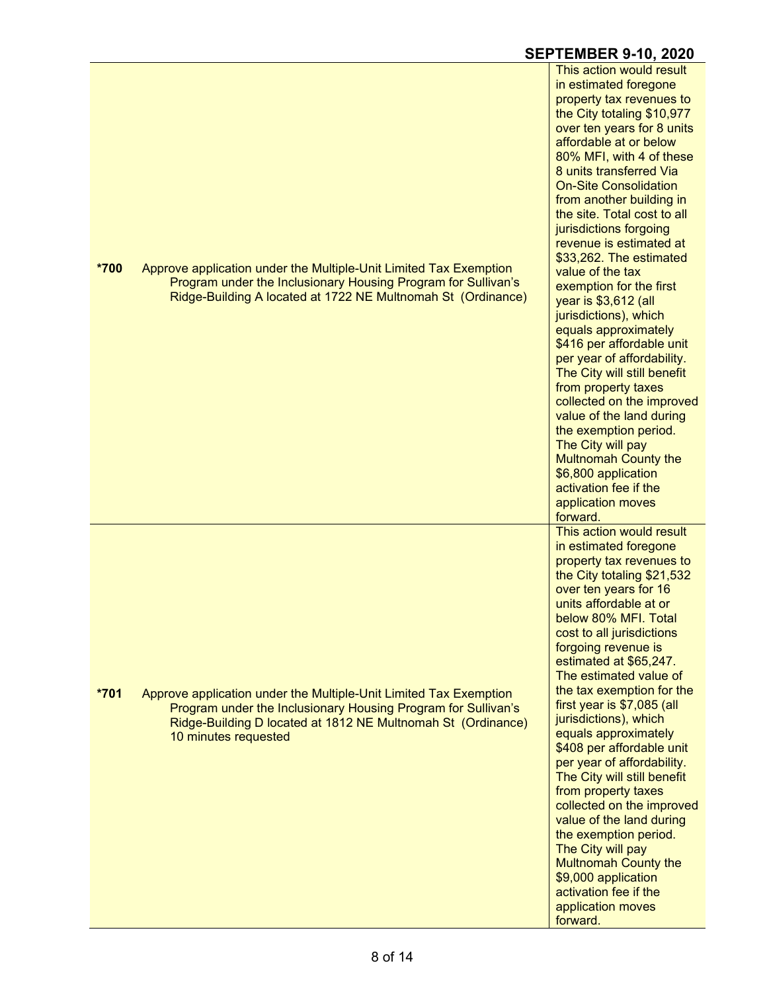|      | <b>SEPTEMBER 9-10, 2020</b>                                                                                                                                                                                                |                                                                                                                                                                                                                                                                                                                                                                                                                                                                                                                                                                                                                                                                                                                                                                                                                                                                       |
|------|----------------------------------------------------------------------------------------------------------------------------------------------------------------------------------------------------------------------------|-----------------------------------------------------------------------------------------------------------------------------------------------------------------------------------------------------------------------------------------------------------------------------------------------------------------------------------------------------------------------------------------------------------------------------------------------------------------------------------------------------------------------------------------------------------------------------------------------------------------------------------------------------------------------------------------------------------------------------------------------------------------------------------------------------------------------------------------------------------------------|
| *700 | Approve application under the Multiple-Unit Limited Tax Exemption<br>Program under the Inclusionary Housing Program for Sullivan's<br>Ridge-Building A located at 1722 NE Multnomah St (Ordinance)                         | This action would result<br>in estimated foregone<br>property tax revenues to<br>the City totaling \$10,977<br>over ten years for 8 units<br>affordable at or below<br>80% MFI, with 4 of these<br>8 units transferred Via<br><b>On-Site Consolidation</b><br>from another building in<br>the site. Total cost to all<br>jurisdictions forgoing<br>revenue is estimated at<br>\$33,262. The estimated<br>value of the tax<br>exemption for the first<br>year is \$3,612 (all<br>jurisdictions), which<br>equals approximately<br>\$416 per affordable unit<br>per year of affordability.<br>The City will still benefit<br>from property taxes<br>collected on the improved<br>value of the land during<br>the exemption period.<br>The City will pay<br><b>Multnomah County the</b><br>\$6,800 application<br>activation fee if the<br>application moves<br>forward. |
| *701 | Approve application under the Multiple-Unit Limited Tax Exemption<br>Program under the Inclusionary Housing Program for Sullivan's<br>Ridge-Building D located at 1812 NE Multnomah St (Ordinance)<br>10 minutes requested | This action would result<br>in estimated foregone<br>property tax revenues to<br>the City totaling \$21,532<br>over ten years for 16<br>units affordable at or<br>below 80% MFI. Total<br>cost to all jurisdictions<br>forgoing revenue is<br>estimated at \$65,247.<br>The estimated value of<br>the tax exemption for the<br>first year is \$7,085 (all<br>jurisdictions), which<br>equals approximately<br>\$408 per affordable unit<br>per year of affordability.<br>The City will still benefit<br>from property taxes<br>collected on the improved<br>value of the land during<br>the exemption period.<br>The City will pay<br><b>Multnomah County the</b><br>\$9,000 application<br>activation fee if the<br>application moves<br>forward.                                                                                                                    |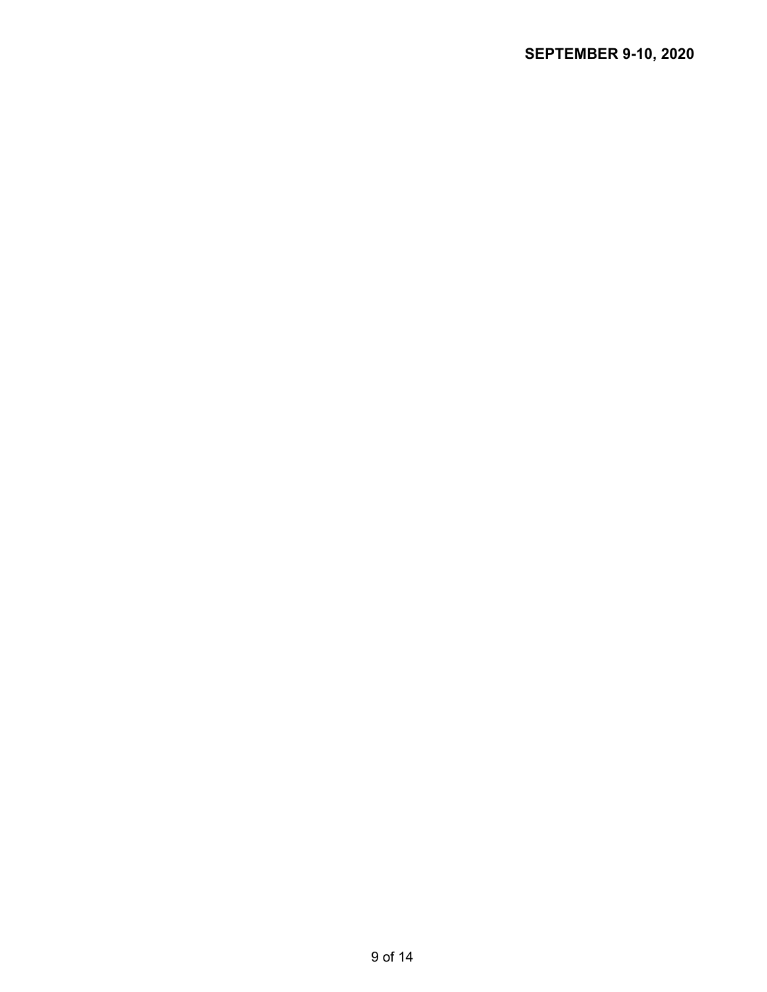# **SEPTEMBER 9-10, 2020**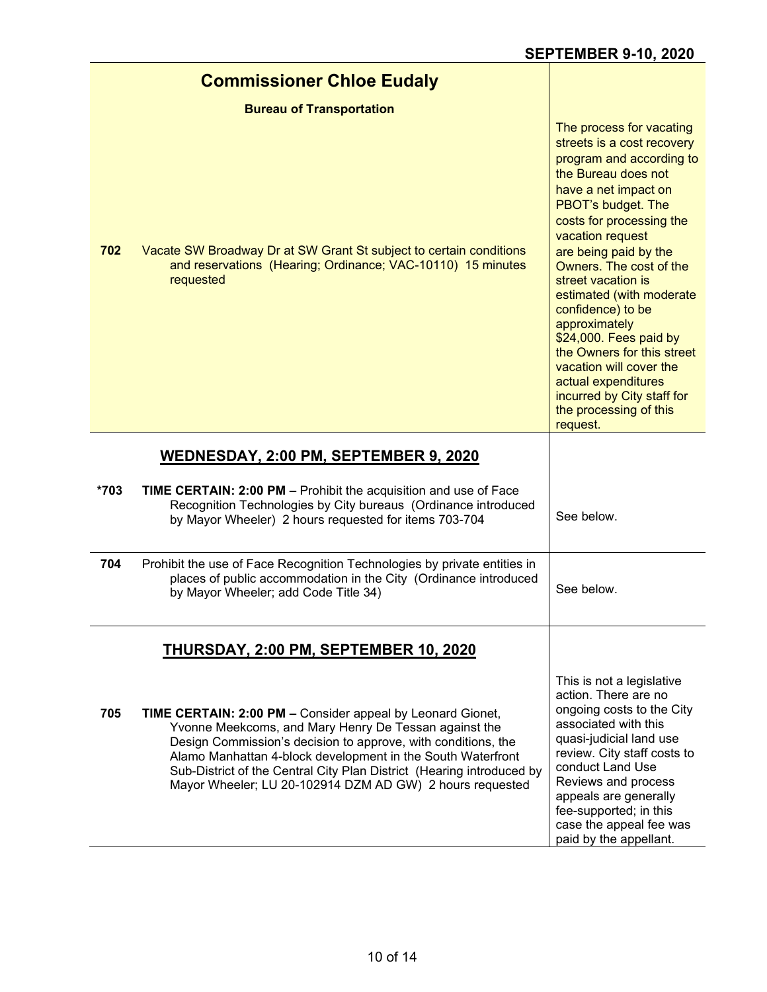|      | <b>Commissioner Chloe Eudaly</b>                                                                                                                                                                                                                                                                                                                                                         |                                                                                                                                                                                                                                                                                                                                                                                                                                                                                                                                   |
|------|------------------------------------------------------------------------------------------------------------------------------------------------------------------------------------------------------------------------------------------------------------------------------------------------------------------------------------------------------------------------------------------|-----------------------------------------------------------------------------------------------------------------------------------------------------------------------------------------------------------------------------------------------------------------------------------------------------------------------------------------------------------------------------------------------------------------------------------------------------------------------------------------------------------------------------------|
|      | <b>Bureau of Transportation</b>                                                                                                                                                                                                                                                                                                                                                          |                                                                                                                                                                                                                                                                                                                                                                                                                                                                                                                                   |
| 702  | Vacate SW Broadway Dr at SW Grant St subject to certain conditions<br>and reservations (Hearing; Ordinance; VAC-10110) 15 minutes<br>requested                                                                                                                                                                                                                                           | The process for vacating<br>streets is a cost recovery<br>program and according to<br>the Bureau does not<br>have a net impact on<br>PBOT's budget. The<br>costs for processing the<br>vacation request<br>are being paid by the<br>Owners. The cost of the<br>street vacation is<br>estimated (with moderate<br>confidence) to be<br>approximately<br>\$24,000. Fees paid by<br>the Owners for this street<br>vacation will cover the<br>actual expenditures<br>incurred by City staff for<br>the processing of this<br>request. |
|      | WEDNESDAY, 2:00 PM, SEPTEMBER 9, 2020                                                                                                                                                                                                                                                                                                                                                    |                                                                                                                                                                                                                                                                                                                                                                                                                                                                                                                                   |
| *703 | <b>TIME CERTAIN: 2:00 PM - Prohibit the acquisition and use of Face</b><br>Recognition Technologies by City bureaus (Ordinance introduced<br>by Mayor Wheeler) 2 hours requested for items 703-704                                                                                                                                                                                       | See below.                                                                                                                                                                                                                                                                                                                                                                                                                                                                                                                        |
| 704  | Prohibit the use of Face Recognition Technologies by private entities in<br>places of public accommodation in the City (Ordinance introduced<br>by Mayor Wheeler; add Code Title 34)                                                                                                                                                                                                     | See below.                                                                                                                                                                                                                                                                                                                                                                                                                                                                                                                        |
|      | <b>THURSDAY, 2:00 PM, SEPTEMBER 10, 2020</b>                                                                                                                                                                                                                                                                                                                                             |                                                                                                                                                                                                                                                                                                                                                                                                                                                                                                                                   |
| 705  | TIME CERTAIN: 2:00 PM - Consider appeal by Leonard Gionet,<br>Yvonne Meekcoms, and Mary Henry De Tessan against the<br>Design Commission's decision to approve, with conditions, the<br>Alamo Manhattan 4-block development in the South Waterfront<br>Sub-District of the Central City Plan District (Hearing introduced by<br>Mayor Wheeler; LU 20-102914 DZM AD GW) 2 hours requested | This is not a legislative<br>action. There are no<br>ongoing costs to the City<br>associated with this<br>quasi-judicial land use<br>review. City staff costs to<br>conduct Land Use<br>Reviews and process<br>appeals are generally<br>fee-supported; in this<br>case the appeal fee was<br>paid by the appellant.                                                                                                                                                                                                               |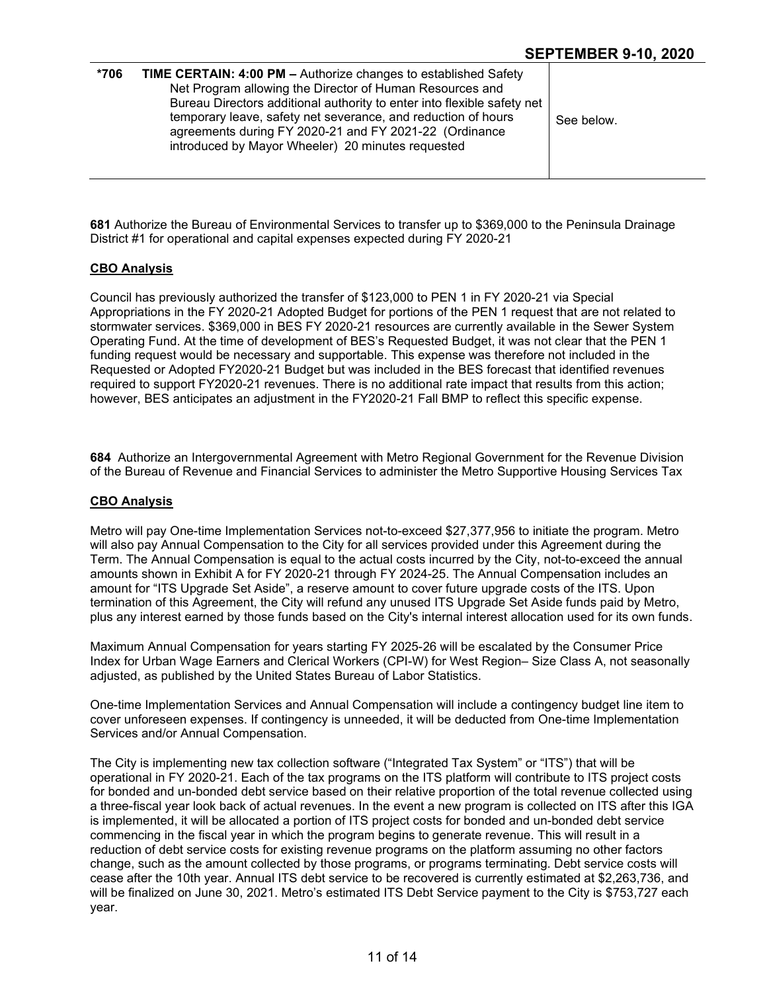| *706 | <b>TIME CERTAIN: 4:00 PM - Authorize changes to established Safety</b><br>Net Program allowing the Director of Human Resources and<br>Bureau Directors additional authority to enter into flexible safety net<br>temporary leave, safety net severance, and reduction of hours<br>agreements during FY 2020-21 and FY 2021-22 (Ordinance<br>introduced by Mayor Wheeler) 20 minutes requested | See below. |
|------|-----------------------------------------------------------------------------------------------------------------------------------------------------------------------------------------------------------------------------------------------------------------------------------------------------------------------------------------------------------------------------------------------|------------|
|      |                                                                                                                                                                                                                                                                                                                                                                                               |            |

**681** Authorize the Bureau of Environmental Services to transfer up to \$369,000 to the Peninsula Drainage District #1 for operational and capital expenses expected during FY 2020-21

#### **CBO Analysis**

Council has previously authorized the transfer of \$123,000 to PEN 1 in FY 2020-21 via Special Appropriations in the FY 2020-21 Adopted Budget for portions of the PEN 1 request that are not related to stormwater services. \$369,000 in BES FY 2020-21 resources are currently available in the Sewer System Operating Fund. At the time of development of BES's Requested Budget, it was not clear that the PEN 1 funding request would be necessary and supportable. This expense was therefore not included in the Requested or Adopted FY2020-21 Budget but was included in the BES forecast that identified revenues required to support FY2020-21 revenues. There is no additional rate impact that results from this action; however, BES anticipates an adjustment in the FY2020-21 Fall BMP to reflect this specific expense.

**684** Authorize an Intergovernmental Agreement with Metro Regional Government for the Revenue Division of the Bureau of Revenue and Financial Services to administer the Metro Supportive Housing Services Tax

#### **CBO Analysis**

Metro will pay One-time Implementation Services not-to-exceed \$27,377,956 to initiate the program. Metro will also pay Annual Compensation to the City for all services provided under this Agreement during the Term. The Annual Compensation is equal to the actual costs incurred by the City, not-to-exceed the annual amounts shown in Exhibit A for FY 2020-21 through FY 2024-25. The Annual Compensation includes an amount for "ITS Upgrade Set Aside", a reserve amount to cover future upgrade costs of the ITS. Upon termination of this Agreement, the City will refund any unused ITS Upgrade Set Aside funds paid by Metro, plus any interest earned by those funds based on the City's internal interest allocation used for its own funds.

Maximum Annual Compensation for years starting FY 2025-26 will be escalated by the Consumer Price Index for Urban Wage Earners and Clerical Workers (CPI-W) for West Region– Size Class A, not seasonally adjusted, as published by the United States Bureau of Labor Statistics.

One-time Implementation Services and Annual Compensation will include a contingency budget line item to cover unforeseen expenses. If contingency is unneeded, it will be deducted from One-time Implementation Services and/or Annual Compensation.

The City is implementing new tax collection software ("Integrated Tax System" or "ITS") that will be operational in FY 2020-21. Each of the tax programs on the ITS platform will contribute to ITS project costs for bonded and un-bonded debt service based on their relative proportion of the total revenue collected using a three-fiscal year look back of actual revenues. In the event a new program is collected on ITS after this IGA is implemented, it will be allocated a portion of ITS project costs for bonded and un-bonded debt service commencing in the fiscal year in which the program begins to generate revenue. This will result in a reduction of debt service costs for existing revenue programs on the platform assuming no other factors change, such as the amount collected by those programs, or programs terminating. Debt service costs will cease after the 10th year. Annual ITS debt service to be recovered is currently estimated at \$2,263,736, and will be finalized on June 30, 2021. Metro's estimated ITS Debt Service payment to the City is \$753,727 each year.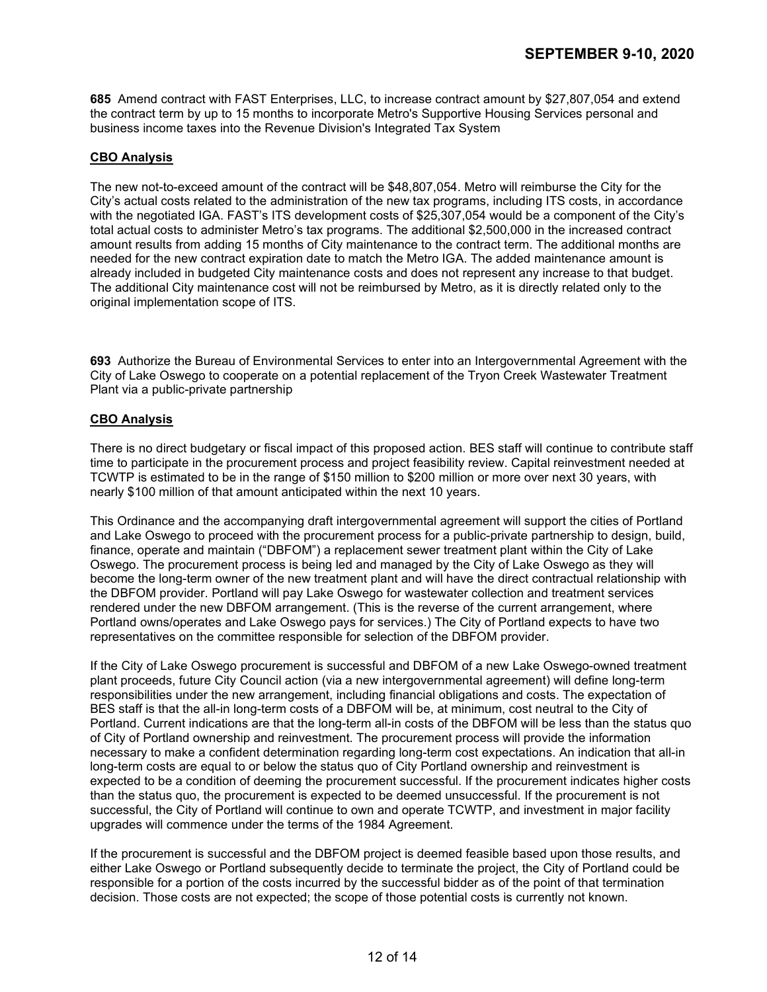**685** Amend contract with FAST Enterprises, LLC, to increase contract amount by \$27,807,054 and extend the contract term by up to 15 months to incorporate Metro's Supportive Housing Services personal and business income taxes into the Revenue Division's Integrated Tax System

#### **CBO Analysis**

The new not-to-exceed amount of the contract will be \$48,807,054. Metro will reimburse the City for the City's actual costs related to the administration of the new tax programs, including ITS costs, in accordance with the negotiated IGA. FAST's ITS development costs of \$25,307,054 would be a component of the City's total actual costs to administer Metro's tax programs. The additional \$2,500,000 in the increased contract amount results from adding 15 months of City maintenance to the contract term. The additional months are needed for the new contract expiration date to match the Metro IGA. The added maintenance amount is already included in budgeted City maintenance costs and does not represent any increase to that budget. The additional City maintenance cost will not be reimbursed by Metro, as it is directly related only to the original implementation scope of ITS.

**693** Authorize the Bureau of Environmental Services to enter into an Intergovernmental Agreement with the City of Lake Oswego to cooperate on a potential replacement of the Tryon Creek Wastewater Treatment Plant via a public-private partnership

#### **CBO Analysis**

There is no direct budgetary or fiscal impact of this proposed action. BES staff will continue to contribute staff time to participate in the procurement process and project feasibility review. Capital reinvestment needed at TCWTP is estimated to be in the range of \$150 million to \$200 million or more over next 30 years, with nearly \$100 million of that amount anticipated within the next 10 years.

This Ordinance and the accompanying draft intergovernmental agreement will support the cities of Portland and Lake Oswego to proceed with the procurement process for a public-private partnership to design, build, finance, operate and maintain ("DBFOM") a replacement sewer treatment plant within the City of Lake Oswego. The procurement process is being led and managed by the City of Lake Oswego as they will become the long-term owner of the new treatment plant and will have the direct contractual relationship with the DBFOM provider. Portland will pay Lake Oswego for wastewater collection and treatment services rendered under the new DBFOM arrangement. (This is the reverse of the current arrangement, where Portland owns/operates and Lake Oswego pays for services.) The City of Portland expects to have two representatives on the committee responsible for selection of the DBFOM provider.

If the City of Lake Oswego procurement is successful and DBFOM of a new Lake Oswego-owned treatment plant proceeds, future City Council action (via a new intergovernmental agreement) will define long-term responsibilities under the new arrangement, including financial obligations and costs. The expectation of BES staff is that the all-in long-term costs of a DBFOM will be, at minimum, cost neutral to the City of Portland. Current indications are that the long-term all-in costs of the DBFOM will be less than the status quo of City of Portland ownership and reinvestment. The procurement process will provide the information necessary to make a confident determination regarding long-term cost expectations. An indication that all-in long-term costs are equal to or below the status quo of City Portland ownership and reinvestment is expected to be a condition of deeming the procurement successful. If the procurement indicates higher costs than the status quo, the procurement is expected to be deemed unsuccessful. If the procurement is not successful, the City of Portland will continue to own and operate TCWTP, and investment in major facility upgrades will commence under the terms of the 1984 Agreement.

If the procurement is successful and the DBFOM project is deemed feasible based upon those results, and either Lake Oswego or Portland subsequently decide to terminate the project, the City of Portland could be responsible for a portion of the costs incurred by the successful bidder as of the point of that termination decision. Those costs are not expected; the scope of those potential costs is currently not known.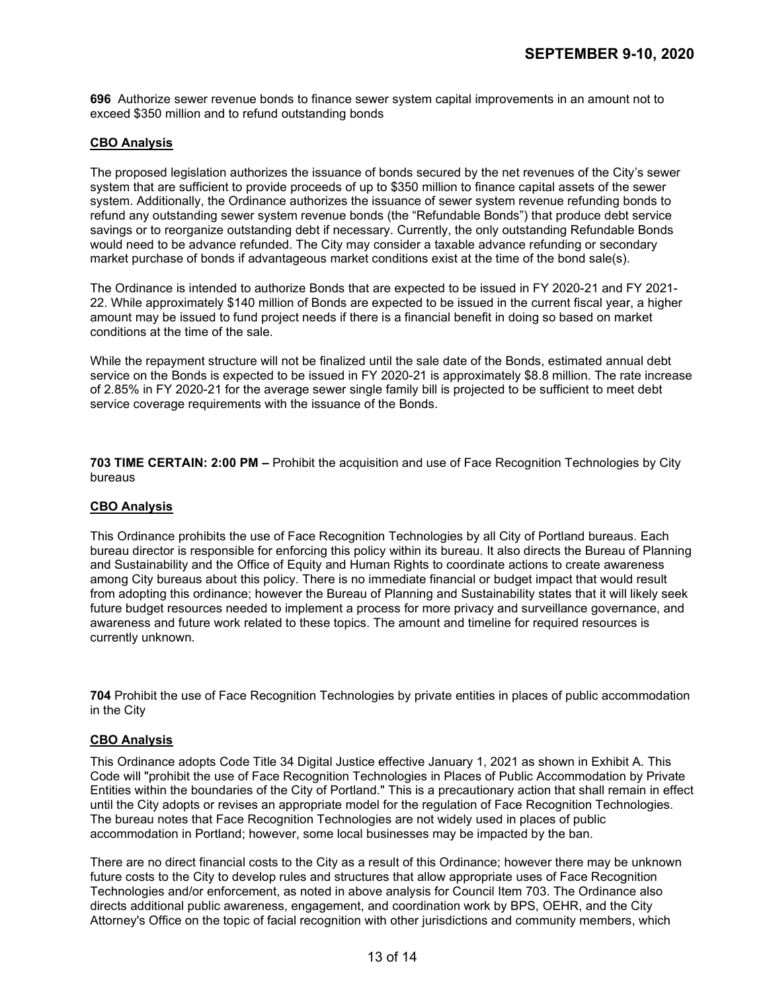**696** Authorize sewer revenue bonds to finance sewer system capital improvements in an amount not to exceed \$350 million and to refund outstanding bonds

#### **CBO Analysis**

The proposed legislation authorizes the issuance of bonds secured by the net revenues of the City's sewer system that are sufficient to provide proceeds of up to \$350 million to finance capital assets of the sewer system. Additionally, the Ordinance authorizes the issuance of sewer system revenue refunding bonds to refund any outstanding sewer system revenue bonds (the "Refundable Bonds") that produce debt service savings or to reorganize outstanding debt if necessary. Currently, the only outstanding Refundable Bonds would need to be advance refunded. The City may consider a taxable advance refunding or secondary market purchase of bonds if advantageous market conditions exist at the time of the bond sale(s).

The Ordinance is intended to authorize Bonds that are expected to be issued in FY 2020-21 and FY 2021- 22. While approximately \$140 million of Bonds are expected to be issued in the current fiscal year, a higher amount may be issued to fund project needs if there is a financial benefit in doing so based on market conditions at the time of the sale.

While the repayment structure will not be finalized until the sale date of the Bonds, estimated annual debt service on the Bonds is expected to be issued in FY 2020-21 is approximately \$8.8 million. The rate increase of 2.85% in FY 2020-21 for the average sewer single family bill is projected to be sufficient to meet debt service coverage requirements with the issuance of the Bonds.

**703 TIME CERTAIN: 2:00 PM –** Prohibit the acquisition and use of Face Recognition Technologies by City bureaus

#### **CBO Analysis**

This Ordinance prohibits the use of Face Recognition Technologies by all City of Portland bureaus. Each bureau director is responsible for enforcing this policy within its bureau. It also directs the Bureau of Planning and Sustainability and the Office of Equity and Human Rights to coordinate actions to create awareness among City bureaus about this policy. There is no immediate financial or budget impact that would result from adopting this ordinance; however the Bureau of Planning and Sustainability states that it will likely seek future budget resources needed to implement a process for more privacy and surveillance governance, and awareness and future work related to these topics. The amount and timeline for required resources is currently unknown.

**704** Prohibit the use of Face Recognition Technologies by private entities in places of public accommodation in the City

#### **CBO Analysis**

This Ordinance adopts Code Title 34 Digital Justice effective January 1, 2021 as shown in Exhibit A. This Code will "prohibit the use of Face Recognition Technologies in Places of Public Accommodation by Private Entities within the boundaries of the City of Portland." This is a precautionary action that shall remain in effect until the City adopts or revises an appropriate model for the regulation of Face Recognition Technologies. The bureau notes that Face Recognition Technologies are not widely used in places of public accommodation in Portland; however, some local businesses may be impacted by the ban.

There are no direct financial costs to the City as a result of this Ordinance; however there may be unknown future costs to the City to develop rules and structures that allow appropriate uses of Face Recognition Technologies and/or enforcement, as noted in above analysis for Council Item 703. The Ordinance also directs additional public awareness, engagement, and coordination work by BPS, OEHR, and the City Attorney's Office on the topic of facial recognition with other jurisdictions and community members, which